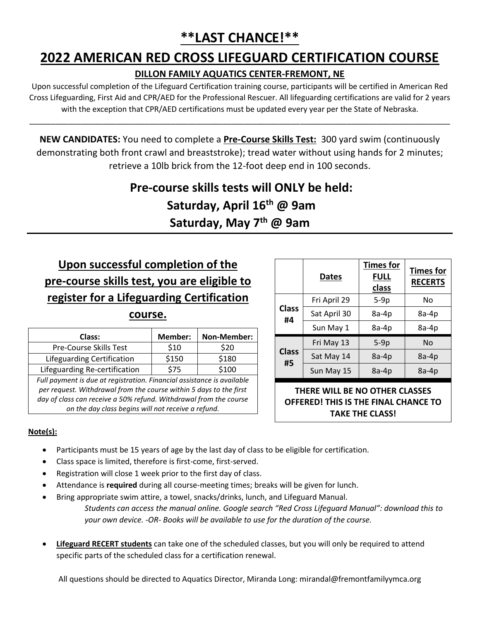## **2022 AMERICAN RED CROSS LIFEGUARD CERTIFICATION COURSE**

#### **DILLON FAMILY AQUATICS CENTER-FREMONT, NE**

Upon successful completion of the Lifeguard Certification training course, participants will be certified in American Red Cross Lifeguarding, First Aid and CPR/AED for the Professional Rescuer. All lifeguarding certifications are valid for 2 years with the exception that CPR/AED certifications must be updated every year per the State of Nebraska.

\_\_\_\_\_\_\_\_\_\_\_\_\_\_\_\_\_\_\_\_\_\_\_\_\_\_\_\_\_\_\_\_\_\_\_\_\_\_\_\_\_\_\_\_\_\_\_\_\_\_\_\_\_\_\_\_\_\_\_\_\_\_\_\_\_\_\_\_\_\_\_\_\_\_\_\_\_\_\_\_\_\_\_\_\_\_\_\_\_\_\_\_\_\_\_\_\_\_

**NEW CANDIDATES:** You need to complete a **Pre-Course Skills Test:** 300 yard swim (continuously demonstrating both front crawl and breaststroke); tread water without using hands for 2 minutes; retrieve a 10lb brick from the 12-foot deep end in 100 seconds.

## **Pre-course skills tests will ONLY be held: Saturday, April 16 th @ 9am Saturday, May 7th @ 9am**

## **Upon successful completion of the pre-course skills test, you are eligible to register for a Lifeguarding Certification**

#### **course.**

| Class:                                                                 | Member: | Non-Member: |
|------------------------------------------------------------------------|---------|-------------|
| Pre-Course Skills Test                                                 | \$10    | \$20        |
| Lifeguarding Certification                                             | \$150   | \$180       |
| Lifeguarding Re-certification                                          | \$75    | \$100       |
| Full payment is due at registration. Financial assistance is available |         |             |
| per request. Withdrawal from the course within 5 days to the first     |         |             |
| day of class can receive a 50% refund. Withdrawal from the course      |         |             |

*on the day class begins will not receive a refund.*

|                    | <b>Dates</b> | <b>Times for</b><br><b>FULL</b><br>class | <b>Times for</b><br><b>RECERTS</b> |
|--------------------|--------------|------------------------------------------|------------------------------------|
|                    | Fri April 29 | $5-9p$                                   | No                                 |
| <b>Class</b><br>#4 | Sat April 30 | 8a-4p                                    | 8a-4p                              |
|                    | Sun May 1    | 8a-4p                                    | 8a-4p                              |
|                    | Fri May 13   | $5-9p$                                   | No                                 |
| <b>Class</b><br>#5 | Sat May 14   | $8a-4p$                                  | $8a-4p$                            |
|                    | Sun May 15   | 8a-4p                                    | 8a-4p                              |

**THERE WILL BE NO OTHER CLASSES OFFERED! THIS IS THE FINAL CHANCE TO TAKE THE CLASS!**

#### **Note(s):**

- Participants must be 15 years of age by the last day of class to be eligible for certification.
- Class space is limited, therefore is first-come, first-served.
- Registration will close 1 week prior to the first day of class.
- Attendance is **required** during all course-meeting times; breaks will be given for lunch.
- Bring appropriate swim attire, a towel, snacks/drinks, lunch, and Lifeguard Manual. *Students can access the manual online. Google search "Red Cross Lifeguard Manual": download this to your own device. -OR- Books will be available to use for the duration of the course.*
- **Lifeguard RECERT students** can take one of the scheduled classes, but you will only be required to attend specific parts of the scheduled class for a certification renewal.

All questions should be directed to Aquatics Director, Miranda Long: mirandal@fremontfamilyymca.org